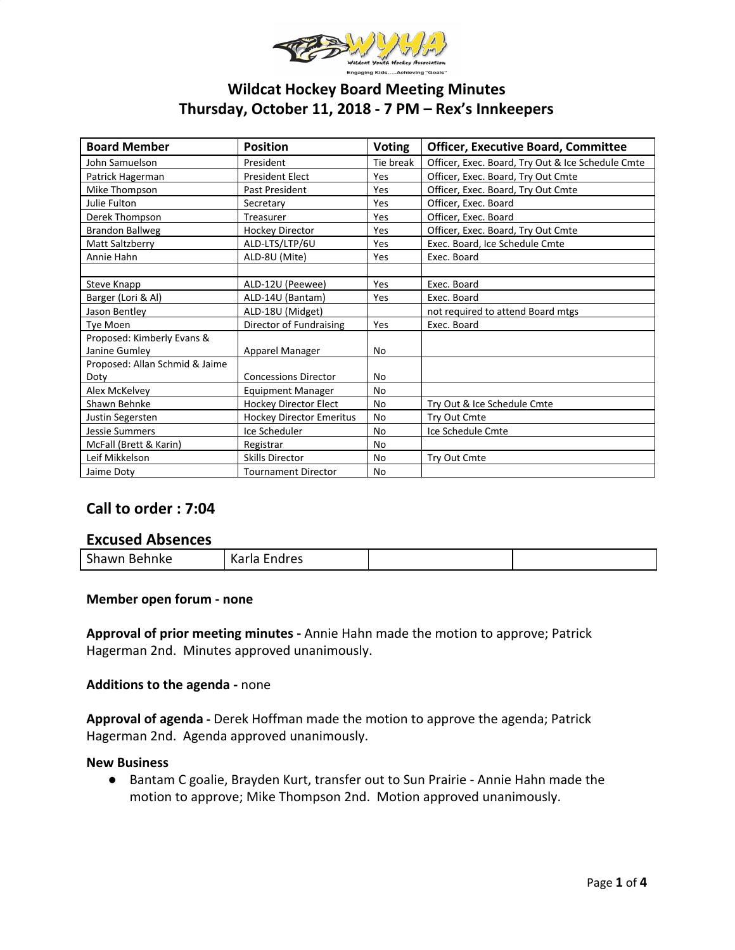

# **Wildcat Hockey Board Meeting Minutes Thursday, October 11, 2018 - 7 PM – Rex's Innkeepers**

| <b>Board Member</b>            | <b>Position</b>                 | <b>Voting</b> | <b>Officer, Executive Board, Committee</b>        |  |
|--------------------------------|---------------------------------|---------------|---------------------------------------------------|--|
| John Samuelson                 | President                       | Tie break     | Officer, Exec. Board, Try Out & Ice Schedule Cmte |  |
| Patrick Hagerman               | <b>President Elect</b>          | Yes           | Officer, Exec. Board, Try Out Cmte                |  |
| Mike Thompson                  | Past President                  | Yes           | Officer, Exec. Board, Try Out Cmte                |  |
| Julie Fulton                   | Secretary                       | Yes           | Officer, Exec. Board                              |  |
| Derek Thompson                 | Treasurer                       | Yes           | Officer, Exec. Board                              |  |
| <b>Brandon Ballweg</b>         | <b>Hockey Director</b>          | Yes           | Officer, Exec. Board, Try Out Cmte                |  |
| Matt Saltzberry                | ALD-LTS/LTP/6U                  | Yes           | Exec. Board, Ice Schedule Cmte                    |  |
| Annie Hahn                     | ALD-8U (Mite)                   | Yes           | Exec. Board                                       |  |
|                                |                                 |               |                                                   |  |
| Steve Knapp                    | ALD-12U (Peewee)                | Yes           | Exec. Board                                       |  |
| Barger (Lori & Al)             | ALD-14U (Bantam)                | Yes           | Exec. Board                                       |  |
| Jason Bentley                  | ALD-18U (Midget)                |               | not required to attend Board mtgs                 |  |
| Tye Moen                       | Director of Fundraising         | Yes           | Exec. Board                                       |  |
| Proposed: Kimberly Evans &     |                                 |               |                                                   |  |
| Janine Gumley                  | Apparel Manager                 | <b>No</b>     |                                                   |  |
| Proposed: Allan Schmid & Jaime |                                 |               |                                                   |  |
| Doty                           | <b>Concessions Director</b>     | No            |                                                   |  |
| Alex McKelvey                  | <b>Equipment Manager</b>        | <b>No</b>     |                                                   |  |
| Shawn Behnke                   | <b>Hockey Director Elect</b>    | <b>No</b>     | Try Out & Ice Schedule Cmte                       |  |
| Justin Segersten               | <b>Hockey Director Emeritus</b> | <b>No</b>     | Try Out Cmte                                      |  |
| <b>Jessie Summers</b>          | Ice Scheduler                   | <b>No</b>     | Ice Schedule Cmte                                 |  |
| McFall (Brett & Karin)         | Registrar                       | No            |                                                   |  |
| Leif Mikkelson                 | <b>Skills Director</b>          | No            | Try Out Cmte                                      |  |
| Jaime Doty                     | <b>Tournament Director</b>      | No            |                                                   |  |

# **Call to order : 7:04**

# **Excused Absences**

| Shawn Behnke | レヘィー<br>Karla Endres |  |  |
|--------------|----------------------|--|--|
|--------------|----------------------|--|--|

## **Member open forum - none**

**Approval of prior meeting minutes -** Annie Hahn made the motion to approve; Patrick Hagerman 2nd. Minutes approved unanimously.

#### **Additions to the agenda -** none

**Approval of agenda -** Derek Hoffman made the motion to approve the agenda; Patrick Hagerman 2nd. Agenda approved unanimously.

## **New Business**

● Bantam C goalie, Brayden Kurt, transfer out to Sun Prairie - Annie Hahn made the motion to approve; Mike Thompson 2nd. Motion approved unanimously.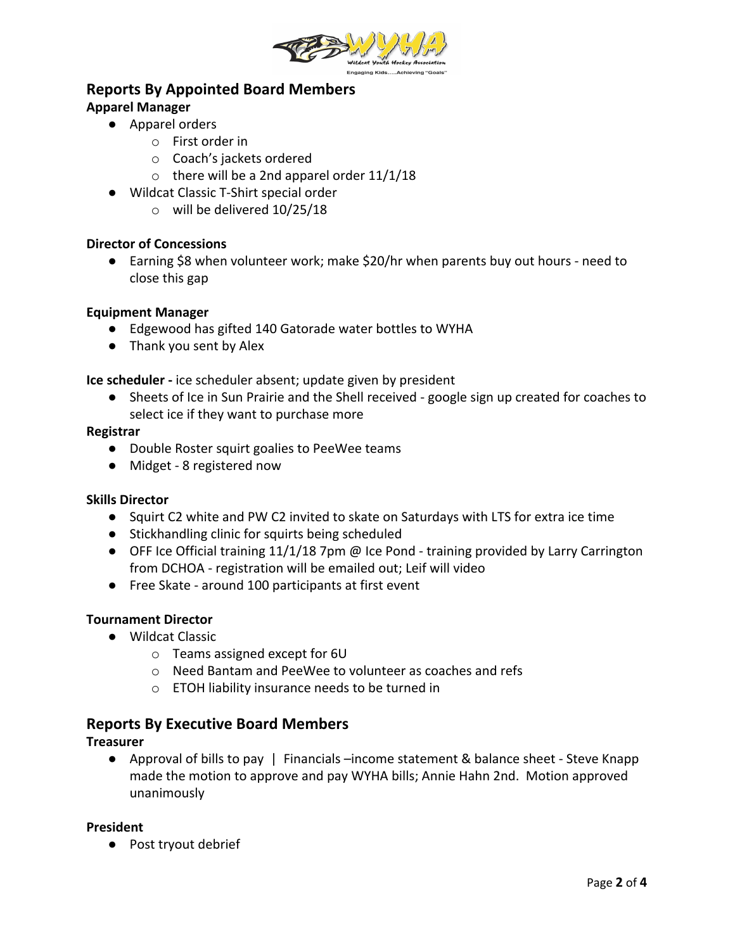

# **Reports By Appointed Board Members**

# **Apparel Manager**

- **●** Apparel orders
	- o First order in
	- o Coach's jackets ordered
	- $\circ$  there will be a 2nd apparel order 11/1/18
- **●** Wildcat Classic T-Shirt special order
	- o will be delivered 10/25/18

# **Director of Concessions**

● Earning \$8 when volunteer work; make \$20/hr when parents buy out hours - need to close this gap

# **Equipment Manager**

- Edgewood has gifted 140 Gatorade water bottles to WYHA
- Thank you sent by Alex

**Ice scheduler -** ice scheduler absent; update given by president

● Sheets of Ice in Sun Prairie and the Shell received - google sign up created for coaches to select ice if they want to purchase more

# **Registrar**

- Double Roster squirt goalies to PeeWee teams
- Midget 8 registered now

# **Skills Director**

- Squirt C2 white and PW C2 invited to skate on Saturdays with LTS for extra ice time
- Stickhandling clinic for squirts being scheduled
- OFF Ice Official training 11/1/18 7pm @ Ice Pond training provided by Larry Carrington from DCHOA - registration will be emailed out; Leif will video
- Free Skate around 100 participants at first event

# **Tournament Director**

- Wildcat Classic
	- o Teams assigned except for 6U
	- o Need Bantam and PeeWee to volunteer as coaches and refs
	- o ETOH liability insurance needs to be turned in

# **Reports By Executive Board Members**

# **Treasurer**

● Approval of bills to pay | Financials –income statement & balance sheet - Steve Knapp made the motion to approve and pay WYHA bills; Annie Hahn 2nd. Motion approved unanimously

# **President**

● Post tryout debrief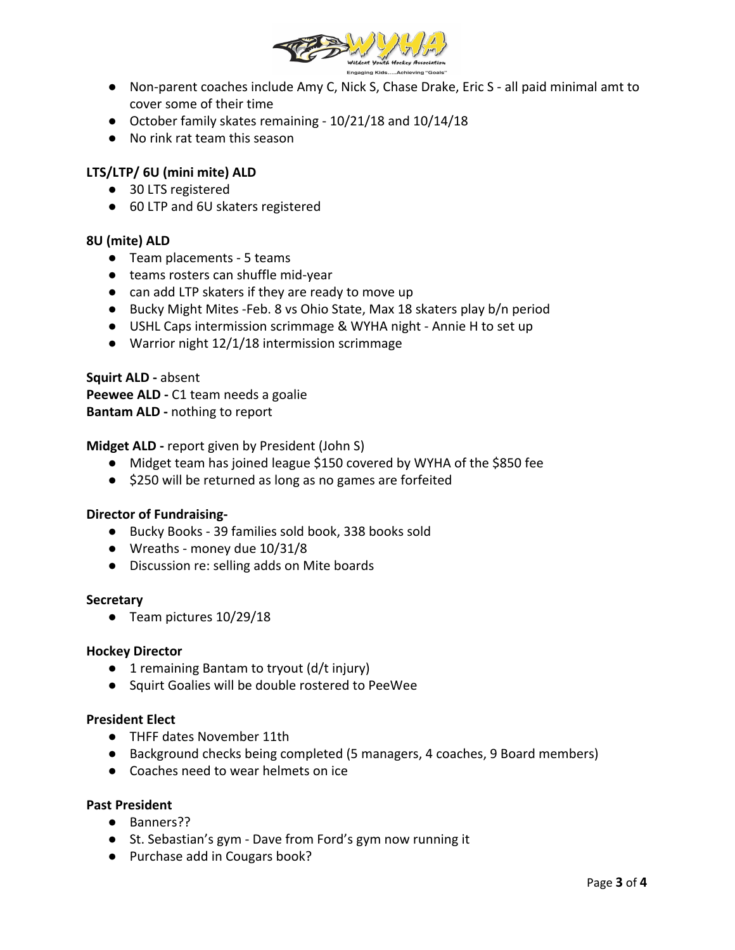

- Non-parent coaches include Amy C, Nick S, Chase Drake, Eric S all paid minimal amt to cover some of their time
- October family skates remaining 10/21/18 and 10/14/18
- No rink rat team this season

# **LTS/LTP/ 6U (mini mite) ALD**

- 30 LTS registered
- 60 LTP and 6U skaters registered

## **8U (mite) ALD**

- Team placements 5 teams
- teams rosters can shuffle mid-year
- can add LTP skaters if they are ready to move up
- Bucky Might Mites -Feb. 8 vs Ohio State, Max 18 skaters play b/n period
- USHL Caps intermission scrimmage & WYHA night Annie H to set up
- Warrior night 12/1/18 intermission scrimmage

**Squirt ALD -** absent Peewee ALD - C1 team needs a goalie **Bantam ALD -** nothing to report

## **Midget ALD -** report given by President (John S)

- Midget team has joined league \$150 covered by WYHA of the \$850 fee
- \$250 will be returned as long as no games are forfeited

## **Director of Fundraising-**

- Bucky Books 39 families sold book, 338 books sold
- Wreaths money due 10/31/8
- Discussion re: selling adds on Mite boards

#### **Secretary**

● Team pictures 10/29/18

## **Hockey Director**

- 1 remaining Bantam to tryout (d/t injury)
- Squirt Goalies will be double rostered to PeeWee

## **President Elect**

- THFF dates November 11th
- Background checks being completed (5 managers, 4 coaches, 9 Board members)
- Coaches need to wear helmets on ice

## **Past President**

- Banners??
- St. Sebastian's gym Dave from Ford's gym now running it
- Purchase add in Cougars book?